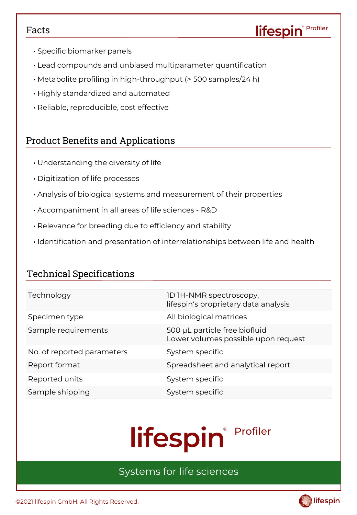#### Facts

- Specific biomarker panels
- Lead compounds and unbiased multiparameter quantification
- Metabolite profiling in high-throughput (> 500 samples/24 h)
- Highly standardized and automated
- Reliable, reproducible, cost effective

### Product Benefits and Applications

- Understanding the diversity of life
- Digitization of life processes
- Analysis of biological systems and measurement of their properties
- Accompaniment in all areas of life sciences R&D
- Relevance for breeding due to efficiency and stability
- Identification and presentation of interrelationships between life and health

## Technical Specifications

| Technology                 | 1D 1H-NMR spectroscopy,<br>lifespin's proprietary data analysis      |
|----------------------------|----------------------------------------------------------------------|
| Specimen type              | All biological matrices                                              |
| Sample requirements        | 500 µL particle free biofluid<br>Lower volumes possible upon request |
| No. of reported parameters | System specific                                                      |
| Report format              | Spreadsheet and analytical report                                    |
| Reported units             | System specific                                                      |
| Sample shipping            | System specific                                                      |

# Profiler lifespin®

# Systems for life sciences

©2021 lifespin GmbH. All Rights Reserved.



Profiler

lifespin®